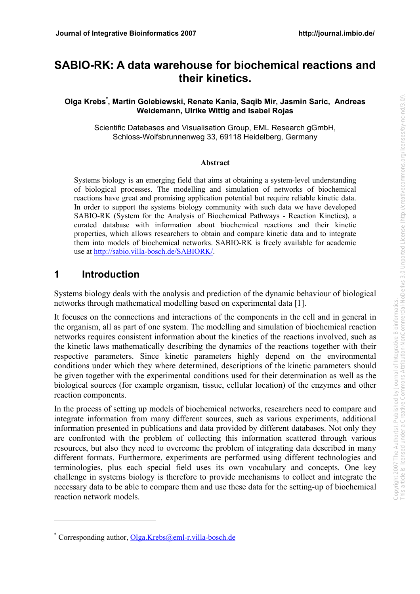# **SABIO-RK: A data warehouse for biochemical reactions and their kinetics.**

#### **Olga Krebs\* , Martin Golebiewski, Renate Kania, Saqib Mir, Jasmin Saric, Andreas Weidemann, Ulrike Wittig and Isabel Rojas**

Scientific Databases and Visualisation Group, EML Research gGmbH, Schloss-Wolfsbrunnenweg 33, 69118 Heidelberg, Germany

#### **Abstract**

Systems biology is an emerging field that aims at obtaining a system-level understanding of biological processes. The modelling and simulation of networks of biochemical reactions have great and promising application potential but require reliable kinetic data. In order to support the systems biology community with such data we have developed SABIO-RK (System for the Analysis of Biochemical Pathways - Reaction Kinetics), a curated database with information about biochemical reactions and their kinetic properties, which allows researchers to obtain and compare kinetic data and to integrate them into models of biochemical networks. SABIO-RK is freely available for academic use at [http://sabio.villa-bosch.de/SABIORK/.](http://sabio.villa-bosch.de/SABIORK/)

## **1 Introduction**

 $\overline{a}$ 

Systems biology deals with the analysis and prediction of the dynamic behaviour of biological networks through mathematical modelling based on experimental data [1].

It focuses on the connections and interactions of the components in the cell and in general in the organism, all as part of one system. The modelling and simulation of biochemical reaction networks requires consistent information about the kinetics of the reactions involved, such as the kinetic laws mathematically describing the dynamics of the reactions together with their respective parameters. Since kinetic parameters highly depend on the environmental conditions under which they where determined, descriptions of the kinetic parameters should be given together with the experimental conditions used for their determination as well as the biological sources (for example organism, tissue, cellular location) of the enzymes and other reaction components.

In the process of setting up models of biochemical networks, researchers need to compare and integrate information from many different sources, such as various experiments, additional information presented in publications and data provided by different databases. Not only they are confronted with the problem of collecting this information scattered through various resources, but also they need to overcome the problem of integrating data described in many different formats. Furthermore, experiments are performed using different technologies and terminologies, plus each special field uses its own vocabulary and concepts. One key challenge in systems biology is therefore to provide mechanisms to collect and integrate the necessary data to be able to compare them and use these data for the setting-up of biochemical reaction network models.

<sup>\*</sup> Corresponding author, Olga.Krebs@eml-r.villa-bosch.de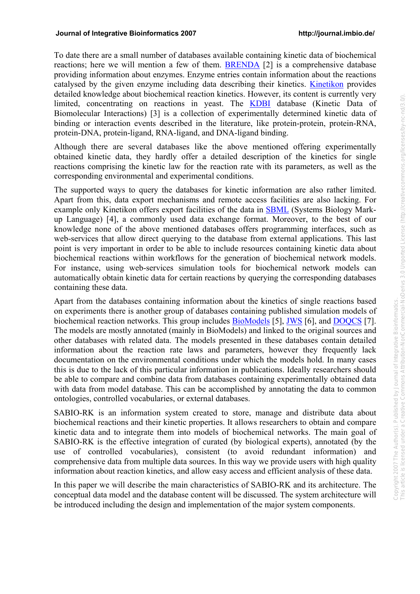To date there are a small number of databases available containing kinetic data of biochemical reactions; here we will mention a few of them. BRENDA [2] is a comprehensive database providing information about enzymes. Enzyme entries contain information about the reactions catalysed by the given enzyme including data describing their kinetics. Kinetikon provides detailed knowledge about biochemical reaction kinetics. However, its content is currently very limited, concentrating on reactions in yeast. The **KDBI** database (Kinetic Data of Biomolecular Interactions) [3] is a collection of experimentally determined kinetic data of binding or interaction events described in the literature, like protein-protein, protein-RNA, protein-DNA, protein-ligand, RNA-ligand, and DNA-ligand binding.

Although there are several databases like the above mentioned offering experimentally obtained kinetic data, they hardly offer a detailed description of the kinetics for single reactions comprising the kinetic law for the reaction rate with its parameters, as well as the corresponding environmental and experimental conditions.

The supported ways to query the databases for kinetic information are also rather limited. Apart from this, data export mechanisms and remote access facilities are also lacking. For example only Kinetikon offers export facilities of the data in SBML (Systems Biology Markup Language) [4], a commonly used data exchange format. Moreover, to the best of our knowledge none of the above mentioned databases offers programming interfaces, such as web-services that allow direct querying to the database from external applications. This last point is very important in order to be able to include resources containing kinetic data about biochemical reactions within workflows for the generation of biochemical network models. For instance, using web-services simulation tools for biochemical network models can automatically obtain kinetic data for certain reactions by querying the corresponding databases containing these data.

Apart from the databases containing information about the kinetics of single reactions based on experiments there is another group of databases containing published simulation models of biochemical reaction networks. This group includes BioModels [5], JWS [6], and DOQCS [7]. The models are mostly annotated (mainly in BioModels) and linked to the original sources and other databases with related data. The models presented in these databases contain detailed information about the reaction rate laws and parameters, however they frequently lack documentation on the environmental conditions under which the models hold. In many cases this is due to the lack of this particular information in publications. Ideally researchers should be able to compare and combine data from databases containing experimentally obtained data with data from model database. This can be accomplished by annotating the data to common ontologies, controlled vocabularies, or external databases.

SABIO-RK is an information system created to store, manage and distribute data about biochemical reactions and their kinetic properties. It allows researchers to obtain and compare kinetic data and to integrate them into models of biochemical networks. The main goal of SABIO-RK is the effective integration of curated (by biological experts), annotated (by the use of controlled vocabularies), consistent (to avoid redundant information) and comprehensive data from multiple data sources. In this way we provide users with high quality information about reaction kinetics, and allow easy access and efficient analysis of these data.

In this paper we will describe the main characteristics of SABIO-RK and its architecture. The conceptual data model and the database content will be discussed. The system architecture will be introduced including the design and implementation of the major system components.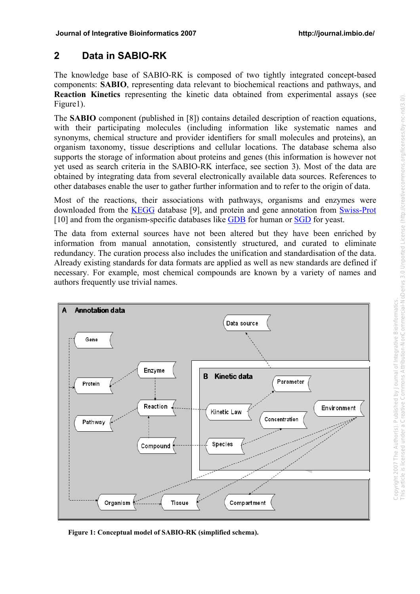## **2 Data in SABIO-RK**

The knowledge base of SABIO-RK is composed of two tightly integrated concept-based components: **SABIO**, representing data relevant to biochemical reactions and pathways, and **Reaction Kinetics** representing the kinetic data obtained from experimental assays (see Figure1).

The **SABIO** component (published in [8]) contains detailed description of reaction equations, with their participating molecules (including information like systematic names and synonyms, chemical structure and provider identifiers for small molecules and proteins), an organism taxonomy, tissue descriptions and cellular locations. The database schema also supports the storage of information about proteins and genes (this information is however not yet used as search criteria in the SABIO-RK interface, see section 3). Most of the data are obtained by integrating data from several electronically available data sources. References to other databases enable the user to gather further information and to refer to the origin of data.

Most of the reactions, their associations with pathways, organisms and enzymes were downloaded from the KEGG database [9], and protein and gene annotation from Swiss-Prot [10] and from the organism-specific databases like GDB for human or SGD for yeast.

The data from external sources have not been altered but they have been enriched by information from manual annotation, consistently structured, and curated to eliminate redundancy. The curation process also includes the unification and standardisation of the data. Already existing standards for data formats are applied as well as new standards are defined if necessary. For example, most chemical compounds are known by a variety of names and authors frequently use trivial names.



**Figure 1: Conceptual model of SABIO-RK (simplified schema).**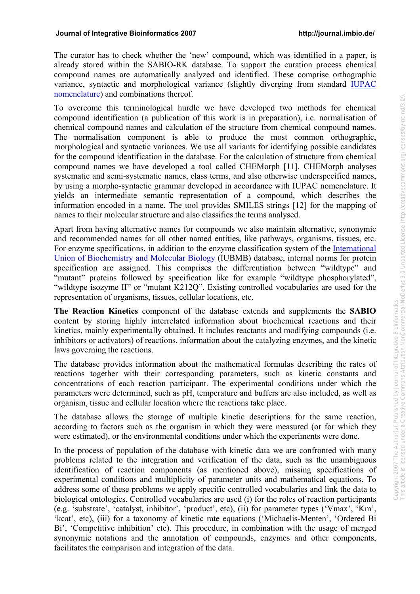The curator has to check whether the 'new' compound, which was identified in a paper, is already stored within the SABIO-RK database. To support the curation process chemical compound names are automatically analyzed and identified. These comprise orthographic variance, syntactic and morphological variance (slightly diverging from standard IUPAC nomenclature) and combinations thereof.

To overcome this terminological hurdle we have developed two methods for chemical compound identification (a publication of this work is in preparation), i.e. normalisation of chemical compound names and calculation of the structure from chemical compound names. The normalisation component is able to produce the most common orthographic, morphological and syntactic variances. We use all variants for identifying possible candidates for the compound identification in the database. For the calculation of structure from chemical compound names we have developed a tool called CHEMorph [11]. CHEMorph analyses systematic and semi-systematic names, class terms, and also otherwise underspecified names, by using a morpho-syntactic grammar developed in accordance with IUPAC nomenclature. It yields an intermediate semantic representation of a compound, which describes the information encoded in a name. The tool provides SMILES strings [12] for the mapping of names to their molecular structure and also classifies the terms analysed.

Apart from having alternative names for compounds we also maintain alternative, synonymic and recommended names for all other named entities, like pathways, organisms, tissues, etc. For enzyme specifications, in addition to the enzyme classification system of the International Union of Biochemistry and Molecular Biology (IUBMB) database, internal norms for protein specification are assigned. This comprises the differentiation between "wildtype" and "mutant" proteins followed by specification like for example "wildtype phosphorylated", "wildtype isozyme II" or "mutant K212Q". Existing controlled vocabularies are used for the representation of organisms, tissues, cellular locations, etc.

**The Reaction Kinetics** component of the database extends and supplements the **SABIO**  content by storing highly interrelated information about biochemical reactions and their kinetics, mainly experimentally obtained. It includes reactants and modifying compounds (i.e. inhibitors or activators) of reactions, information about the catalyzing enzymes, and the kinetic laws governing the reactions.

The database provides information about the mathematical formulas describing the rates of reactions together with their corresponding parameters, such as kinetic constants and concentrations of each reaction participant. The experimental conditions under which the parameters were determined, such as pH, temperature and buffers are also included, as well as organism, tissue and cellular location where the reactions take place.

The database allows the storage of multiple kinetic descriptions for the same reaction, according to factors such as the organism in which they were measured (or for which they were estimated), or the environmental conditions under which the experiments were done.

In the process of population of the database with kinetic data we are confronted with many problems related to the integration and verification of the data, such as the unambiguous identification of reaction components (as mentioned above), missing specifications of experimental conditions and multiplicity of parameter units and mathematical equations. To address some of these problems we apply specific controlled vocabularies and link the data to biological ontologies. Controlled vocabularies are used (i) for the roles of reaction participants (e.g. 'substrate', 'catalyst, inhibitor', 'product', etc), (ii) for parameter types ('Vmax', 'Km', 'kcat', etc), (iii) for a taxonomy of kinetic rate equations ('Michaelis-Menten', 'Ordered Bi Bi', 'Competitive inhibition' etc). This procedure, in combination with the usage of merged synonymic notations and the annotation of compounds, enzymes and other components, facilitates the comparison and integration of the data.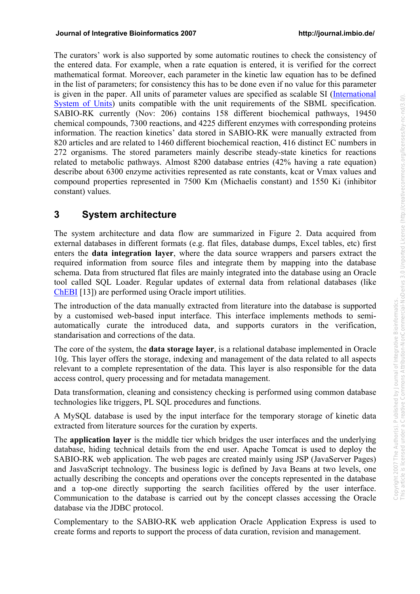The curators' work is also supported by some automatic routines to check the consistency of the entered data. For example, when a rate equation is entered, it is verified for the correct mathematical format. Moreover, each parameter in the kinetic law equation has to be defined in the list of parameters; for consistency this has to be done even if no value for this parameter is given in the paper. All units of parameter values are specified as scalable SI (International System of Units) units compatible with the unit requirements of the SBML specification. SABIO-RK currently (Nov: 206) contains 158 different biochemical pathways, 19450 chemical compounds, 7300 reactions, and 4225 different enzymes with corresponding proteins information. The reaction kinetics' data stored in SABIO-RK were manually extracted from 820 articles and are related to 1460 different biochemical reaction, 416 distinct EC numbers in 272 organisms. The stored parameters mainly describe steady-state kinetics for reactions related to metabolic pathways. Almost 8200 database entries (42% having a rate equation) describe about 6300 enzyme activities represented as rate constants, kcat or Vmax values and compound properties represented in 7500 Km (Michaelis constant) and 1550 Ki (inhibitor constant) values.

## **3 System architecture**

The system architecture and data flow are summarized in Figure 2. Data acquired from external databases in different formats (e.g. flat files, database dumps, Excel tables, etc) first enters the **data integration layer**, where the data source wrappers and parsers extract the required information from source files and integrate them by mapping into the database schema. Data from structured flat files are mainly integrated into the database using an Oracle tool called SQL Loader. Regular updates of external data from relational databases (like ChEBI [13]) are performed using Oracle import utilities.

The introduction of the data manually extracted from literature into the database is supported by a customised web-based input interface. This interface implements methods to semiautomatically curate the introduced data, and supports curators in the verification, standarisation and corrections of the data.

The core of the system, the **data storage layer**, is a relational database implemented in Oracle 10g. This layer offers the storage, indexing and management of the data related to all aspects relevant to a complete representation of the data. This layer is also responsible for the data access control, query processing and for metadata management.

Data transformation, cleaning and consistency checking is performed using common database technologies like triggers, PL SQL procedures and functions.

A MySQL database is used by the input interface for the temporary storage of kinetic data extracted from literature sources for the curation by experts.

The **application layer** is the middle tier which bridges the user interfaces and the underlying database, hiding technical details from the end user. Apache Tomcat is used to deploy the SABIO-RK web application. The web pages are created mainly using JSP (JavaServer Pages) and JasvaScript technology. The business logic is defined by Java Beans at two levels, one actually describing the concepts and operations over the concepts represented in the database and a top-one directly supporting the search facilities offered by the user interface. Communication to the database is carried out by the concept classes accessing the Oracle database via the JDBC protocol.

Complementary to the SABIO-RK web application Oracle Application Express is used to create forms and reports to support the process of data curation, revision and management.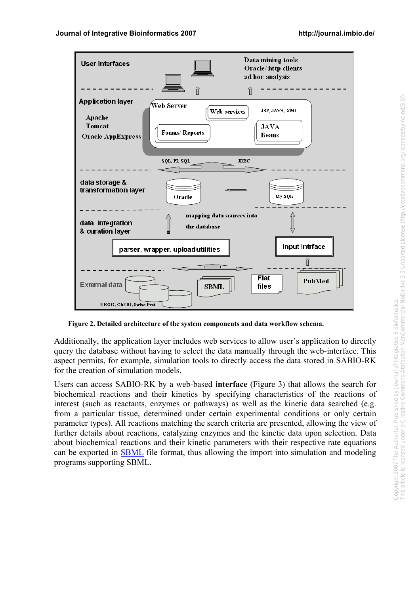

**Figure 2. Detailed architecture of the system components and data workflow schema.** 

Additionally, the application layer includes web services to allow user's application to directly query the database without having to select the data manually through the web-interface. This aspect permits, for example, simulation tools to directly access the data stored in SABIO-RK for the creation of simulation models.

Users can access SABIO-RK by a web-based **interface** (Figure 3) that allows the search for biochemical reactions and their kinetics by specifying characteristics of the reactions of interest (such as reactants, enzymes or pathways) as well as the kinetic data searched (e.g. from a particular tissue, determined under certain experimental conditions or only certain parameter types). All reactions matching the search criteria are presented, allowing the view of further details about reactions, catalyzing enzymes and the kinetic data upon selection. Data about biochemical reactions and their kinetic parameters with their respective rate equations can be exported in SBML file format, thus allowing the import into simulation and modeling programs supporting SBML.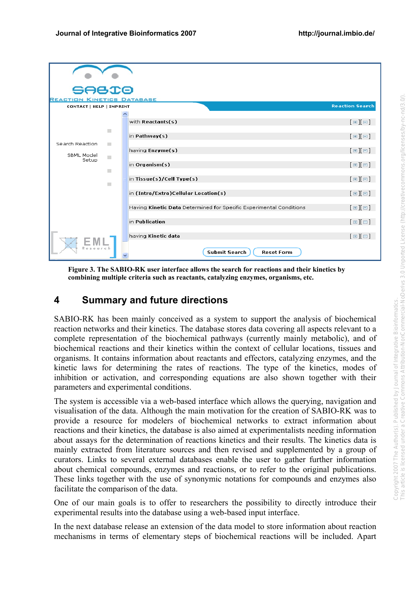| <b>SABIO</b>                      |             |                                                                     |                         |
|-----------------------------------|-------------|---------------------------------------------------------------------|-------------------------|
| <b>REACTION KINETICS DATABASE</b> |             |                                                                     |                         |
| CONTACT   HELP   IMPRINT          |             |                                                                     | <b>Reaction Search</b>  |
|                                   |             |                                                                     |                         |
|                                   |             | with Reactants(s)                                                   | $[\equiv][\equiv]$      |
|                                   |             | in Pathway(s)                                                       | $[\boxdot][\boxdot]$    |
| Search Reaction                   | 13          |                                                                     |                         |
| <b>SBML Model</b>                 |             | having Enzyme(s)                                                    | $[\boxplus][\boxminus]$ |
| Setup                             | 图           | in Organism $(s)$                                                   | $[\equiv][\equiv]$      |
|                                   | <b>Ball</b> |                                                                     |                         |
|                                   | 題           | in Tissue(s)/Cell Type(s)                                           | $[\boxplus][\boxplus]$  |
|                                   |             | in (Intra/Extra)Cellular Location(s)                                | $[\boxplus][\boxminus]$ |
|                                   |             |                                                                     |                         |
|                                   |             | Having Kinetic Data Determined for Specific Experimental Conditions | $[\boxdot][\boxdot]$    |
|                                   |             | in Publication                                                      | $[\equiv][\equiv]$      |
|                                   |             |                                                                     |                         |
|                                   |             | having Kinetic data                                                 | $[\boxplus][\boxminus]$ |
|                                   |             | <b>Submit Search</b><br><b>Reset Form</b>                           |                         |

**Figure 3. The SABIO-RK user interface allows the search for reactions and their kinetics by combining multiple criteria such as reactants, catalyzing enzymes, organisms, etc.** 

## **4 Summary and future directions**

SABIO-RK has been mainly conceived as a system to support the analysis of biochemical reaction networks and their kinetics. The database stores data covering all aspects relevant to a complete representation of the biochemical pathways (currently mainly metabolic), and of biochemical reactions and their kinetics within the context of cellular locations, tissues and organisms. It contains information about reactants and effectors, catalyzing enzymes, and the kinetic laws for determining the rates of reactions. The type of the kinetics, modes of inhibition or activation, and corresponding equations are also shown together with their parameters and experimental conditions.

The system is accessible via a web-based interface which allows the querying, navigation and visualisation of the data. Although the main motivation for the creation of SABIO-RK was to provide a resource for modelers of biochemical networks to extract information about reactions and their kinetics, the database is also aimed at experimentalists needing information about assays for the determination of reactions kinetics and their results. The kinetics data is mainly extracted from literature sources and then revised and supplemented by a group of curators. Links to several external databases enable the user to gather further information about chemical compounds, enzymes and reactions, or to refer to the original publications. These links together with the use of synonymic notations for compounds and enzymes also facilitate the comparison of the data.

One of our main goals is to offer to researchers the possibility to directly introduce their experimental results into the database using a web-based input interface.

In the next database release an extension of the data model to store information about reaction mechanisms in terms of elementary steps of biochemical reactions will be included. Apart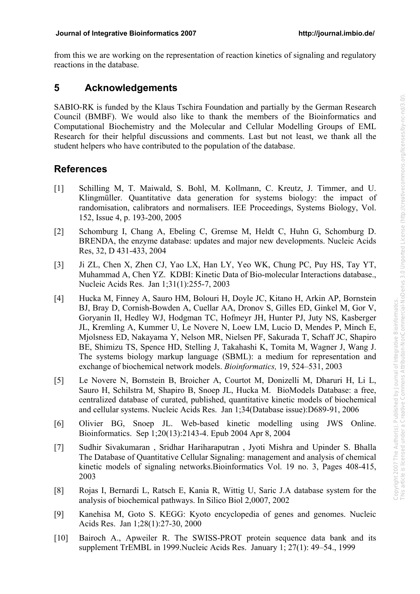from this we are working on the representation of reaction kinetics of signaling and regulatory reactions in the database.

### **5 Acknowledgements**

SABIO-RK is funded by the Klaus Tschira Foundation and partially by the German Research Council (BMBF). We would also like to thank the members of the Bioinformatics and Computational Biochemistry and the Molecular and Cellular Modelling Groups of EML Research for their helpful discussions and comments. Last but not least, we thank all the student helpers who have contributed to the population of the database.

## **References**

- [1] Schilling M, T. Maiwald, S. Bohl, M. Kollmann, C. Kreutz, J. Timmer, and U. Klingmüller. Quantitative data generation for systems biology: the impact of randomisation, calibrators and normalisers. IEE Proceedings, Systems Biology, Vol. 152, Issue 4, p. 193-200, 2005
- [2] Schomburg I, Chang A, Ebeling C, Gremse M, Heldt C, Huhn G, Schomburg D. BRENDA, the enzyme database: updates and major new developments. Nucleic Acids Res, 32, D 431-433, 2004
- [3] Ji ZL, Chen X, Zhen CJ, Yao LX, Han LY, Yeo WK, Chung PC, Puy HS, Tay YT, Muhammad A, Chen YZ. KDBI: Kinetic Data of Bio-molecular Interactions database., Nucleic Acids Res. Jan 1;31(1):255-7, 2003
- [4] Hucka M, Finney A, Sauro HM, Bolouri H, Doyle JC, Kitano H, Arkin AP, Bornstein BJ, Bray D, Cornish-Bowden A, Cuellar AA, Dronov S, Gilles ED, Ginkel M, Gor V, Goryanin II, Hedley WJ, Hodgman TC, Hofmeyr JH, Hunter PJ, Juty NS, Kasberger JL, Kremling A, Kummer U, Le Novere N, Loew LM, Lucio D, Mendes P, Minch E, Mjolsness ED, Nakayama Y, Nelson MR, Nielsen PF, Sakurada T, Schaff JC, Shapiro BE, Shimizu TS, Spence HD, Stelling J, Takahashi K, Tomita M, Wagner J, Wang J. The systems biology markup language (SBML): a medium for representation and exchange of biochemical network models. *Bioinformatics,* 19, 524–531, 2003
- [5] Le Novere N, Bornstein B, Broicher A, Courtot M, Donizelli M, Dharuri H, Li L, Sauro H, Schilstra M, Shapiro B, Snoep JL, Hucka M. BioModels Database: a free, centralized database of curated, published, quantitative kinetic models of biochemical and cellular systems. Nucleic Acids Res. Jan 1;34(Database issue):D689-91, 2006
- [6] Olivier BG, Snoep JL. Web-based kinetic modelling using JWS Online. Bioinformatics. Sep 1;20(13):2143-4. Epub 2004 Apr 8, 2004
- [7] Sudhir Sivakumaran , Sridhar Hariharaputran , Jyoti Mishra and Upinder S. Bhalla The Database of Quantitative Cellular Signaling: management and analysis of chemical kinetic models of signaling networks.Bioinformatics Vol. 19 no. 3, Pages 408-415, 2003
- [8] Rojas I, Bernardi L, Ratsch E, Kania R, Wittig U, Saric J.A database system for the analysis of biochemical pathways. In Silico Biol 2,0007, 2002
- [9] Kanehisa M, Goto S. KEGG: Kyoto encyclopedia of genes and genomes. Nucleic Acids Res. Jan 1;28(1):27-30, 2000
- [10] Bairoch A., Apweiler R. The SWISS-PROT protein sequence data bank and its supplement TrEMBL in 1999.Nucleic Acids Res. January 1; 27(1): 49–54., 1999